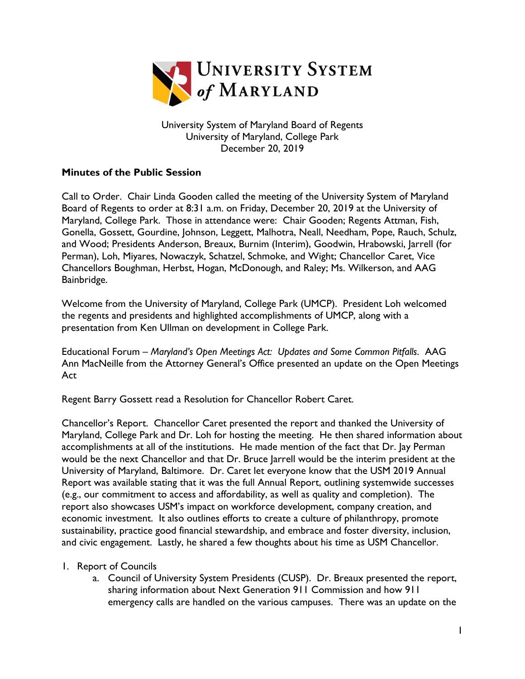

University System of Maryland Board of Regents University of Maryland, College Park December 20, 2019

## **Minutes of the Public Session**

Call to Order. Chair Linda Gooden called the meeting of the University System of Maryland Board of Regents to order at 8:31 a.m. on Friday, December 20, 2019 at the University of Maryland, College Park. Those in attendance were: Chair Gooden; Regents Attman, Fish, Gonella, Gossett, Gourdine, Johnson, Leggett, Malhotra, Neall, Needham, Pope, Rauch, Schulz, and Wood; Presidents Anderson, Breaux, Burnim (Interim), Goodwin, Hrabowski, Jarrell (for Perman), Loh, Miyares, Nowaczyk, Schatzel, Schmoke, and Wight; Chancellor Caret, Vice Chancellors Boughman, Herbst, Hogan, McDonough, and Raley; Ms. Wilkerson, and AAG Bainbridge.

Welcome from the University of Maryland, College Park (UMCP). President Loh welcomed the regents and presidents and highlighted accomplishments of UMCP, along with a presentation from Ken Ullman on development in College Park.

Educational Forum – *Maryland's Open Meetings Act: Updates and Some Common Pitfalls*. AAG Ann MacNeille from the Attorney General's Office presented an update on the Open Meetings Act

Regent Barry Gossett read a Resolution for Chancellor Robert Caret.

Chancellor's Report. Chancellor Caret presented the report and thanked the University of Maryland, College Park and Dr. Loh for hosting the meeting. He then shared information about accomplishments at all of the institutions. He made mention of the fact that Dr. Jay Perman would be the next Chancellor and that Dr. Bruce Jarrell would be the interim president at the University of Maryland, Baltimore. Dr. Caret let everyone know that the USM 2019 Annual Report was available stating that it was the full Annual Report, outlining systemwide successes (e.g., our commitment to access and affordability, as well as quality and completion). The report also showcases USM's impact on workforce development, company creation, and economic investment. It also outlines efforts to create a culture of philanthropy, promote sustainability, practice good financial stewardship, and embrace and foster diversity, inclusion, and civic engagement. Lastly, he shared a few thoughts about his time as USM Chancellor.

## 1. Report of Councils

a. Council of University System Presidents (CUSP). Dr. Breaux presented the report, sharing information about Next Generation 911 Commission and how 911 emergency calls are handled on the various campuses. There was an update on the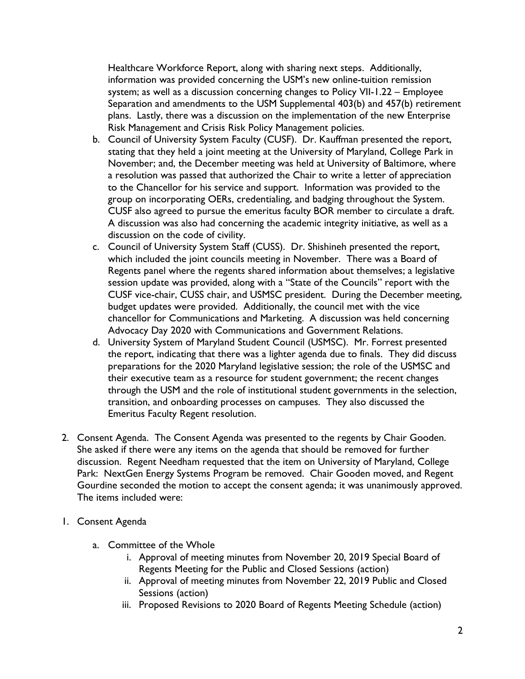Healthcare Workforce Report, along with sharing next steps. Additionally, information was provided concerning the USM's new online-tuition remission system; as well as a discussion concerning changes to Policy VII-1.22 – Employee Separation and amendments to the USM Supplemental 403(b) and 457(b) retirement plans. Lastly, there was a discussion on the implementation of the new Enterprise Risk Management and Crisis Risk Policy Management policies.

- b. Council of University System Faculty (CUSF). Dr. Kauffman presented the report, stating that they held a joint meeting at the University of Maryland, College Park in November; and, the December meeting was held at University of Baltimore, where a resolution was passed that authorized the Chair to write a letter of appreciation to the Chancellor for his service and support. Information was provided to the group on incorporating OERs, credentialing, and badging throughout the System. CUSF also agreed to pursue the emeritus faculty BOR member to circulate a draft. A discussion was also had concerning the academic integrity initiative, as well as a discussion on the code of civility.
- c. Council of University System Staff (CUSS). Dr. Shishineh presented the report, which included the joint councils meeting in November. There was a Board of Regents panel where the regents shared information about themselves; a legislative session update was provided, along with a "State of the Councils" report with the CUSF vice-chair, CUSS chair, and USMSC president. During the December meeting, budget updates were provided. Additionally, the council met with the vice chancellor for Communications and Marketing. A discussion was held concerning Advocacy Day 2020 with Communications and Government Relations.
- d. University System of Maryland Student Council (USMSC). Mr. Forrest presented the report, indicating that there was a lighter agenda due to finals. They did discuss preparations for the 2020 Maryland legislative session; the role of the USMSC and their executive team as a resource for student government; the recent changes through the USM and the role of institutional student governments in the selection, transition, and onboarding processes on campuses. They also discussed the Emeritus Faculty Regent resolution.
- 2. Consent Agenda. The Consent Agenda was presented to the regents by Chair Gooden. She asked if there were any items on the agenda that should be removed for further discussion. Regent Needham requested that the item on University of Maryland, College Park: NextGen Energy Systems Program be removed. Chair Gooden moved, and Regent Gourdine seconded the motion to accept the consent agenda; it was unanimously approved. The items included were:
- 1. Consent Agenda
	- a. Committee of the Whole
		- i. Approval of meeting minutes from November 20, 2019 Special Board of Regents Meeting for the Public and Closed Sessions (action)
		- ii. Approval of meeting minutes from November 22, 2019 Public and Closed Sessions (action)
		- iii. Proposed Revisions to 2020 Board of Regents Meeting Schedule (action)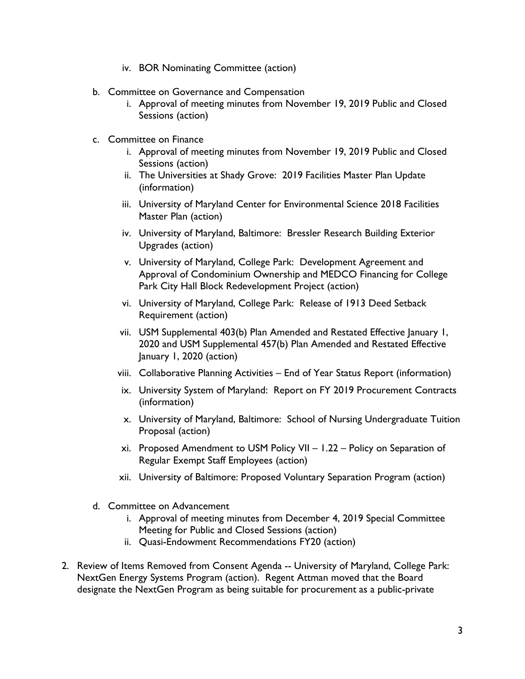- iv. BOR Nominating Committee (action)
- b. Committee on Governance and Compensation
	- i. Approval of meeting minutes from November 19, 2019 Public and Closed Sessions (action)
- c. Committee on Finance
	- i. Approval of meeting minutes from November 19, 2019 Public and Closed Sessions (action)
	- ii. The Universities at Shady Grove: 2019 Facilities Master Plan Update (information)
	- iii. University of Maryland Center for Environmental Science 2018 Facilities Master Plan (action)
	- iv. University of Maryland, Baltimore: Bressler Research Building Exterior Upgrades (action)
	- v. University of Maryland, College Park: Development Agreement and Approval of Condominium Ownership and MEDCO Financing for College Park City Hall Block Redevelopment Project (action)
	- vi. University of Maryland, College Park: Release of 1913 Deed Setback Requirement (action)
	- vii. USM Supplemental 403(b) Plan Amended and Restated Effective January 1, 2020 and USM Supplemental 457(b) Plan Amended and Restated Effective January 1, 2020 (action)
	- viii. Collaborative Planning Activities End of Year Status Report (information)
	- ix. University System of Maryland: Report on FY 2019 Procurement Contracts (information)
	- x. University of Maryland, Baltimore: School of Nursing Undergraduate Tuition Proposal (action)
	- xi. Proposed Amendment to USM Policy VII 1.22 Policy on Separation of Regular Exempt Staff Employees (action)
	- xii. University of Baltimore: Proposed Voluntary Separation Program (action)
- d. Committee on Advancement
	- i. Approval of meeting minutes from December 4, 2019 Special Committee Meeting for Public and Closed Sessions (action)
	- ii. Quasi-Endowment Recommendations FY20 (action)
- 2. Review of Items Removed from Consent Agenda -- University of Maryland, College Park: NextGen Energy Systems Program (action). Regent Attman moved that the Board designate the NextGen Program as being suitable for procurement as a public-private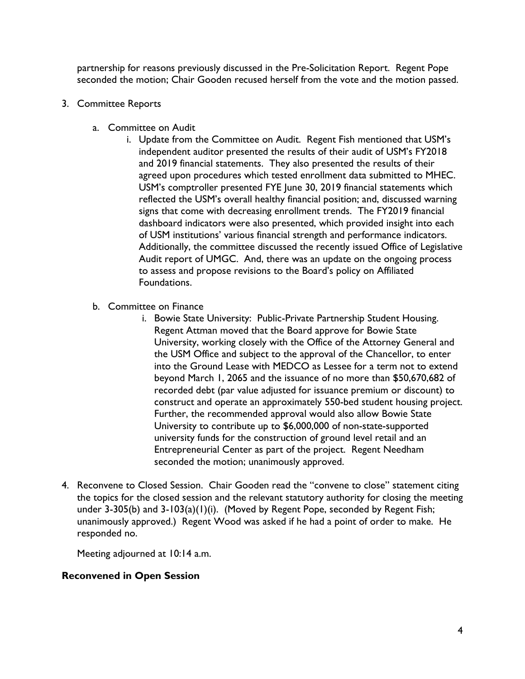partnership for reasons previously discussed in the Pre-Solicitation Report. Regent Pope seconded the motion; Chair Gooden recused herself from the vote and the motion passed.

- 3. Committee Reports
	- a. Committee on Audit
		- i. Update from the Committee on Audit. Regent Fish mentioned that USM's independent auditor presented the results of their audit of USM's FY2018 and 2019 financial statements. They also presented the results of their agreed upon procedures which tested enrollment data submitted to MHEC. USM's comptroller presented FYE June 30, 2019 financial statements which reflected the USM's overall healthy financial position; and, discussed warning signs that come with decreasing enrollment trends. The FY2019 financial dashboard indicators were also presented, which provided insight into each of USM institutions' various financial strength and performance indicators. Additionally, the committee discussed the recently issued Office of Legislative Audit report of UMGC. And, there was an update on the ongoing process to assess and propose revisions to the Board's policy on Affiliated Foundations.
	- b. Committee on Finance
		- i. Bowie State University: Public-Private Partnership Student Housing. Regent Attman moved that the Board approve for Bowie State University, working closely with the Office of the Attorney General and the USM Office and subject to the approval of the Chancellor, to enter into the Ground Lease with MEDCO as Lessee for a term not to extend beyond March 1, 2065 and the issuance of no more than \$50,670,682 of recorded debt (par value adjusted for issuance premium or discount) to construct and operate an approximately 550-bed student housing project. Further, the recommended approval would also allow Bowie State University to contribute up to \$6,000,000 of non-state-supported university funds for the construction of ground level retail and an Entrepreneurial Center as part of the project. Regent Needham seconded the motion; unanimously approved.
- 4. Reconvene to Closed Session. Chair Gooden read the "convene to close" statement citing the topics for the closed session and the relevant statutory authority for closing the meeting under 3-305(b) and 3-103(a)(1)(i). (Moved by Regent Pope, seconded by Regent Fish; unanimously approved.) Regent Wood was asked if he had a point of order to make. He responded no.

Meeting adjourned at 10:14 a.m.

## **Reconvened in Open Session**